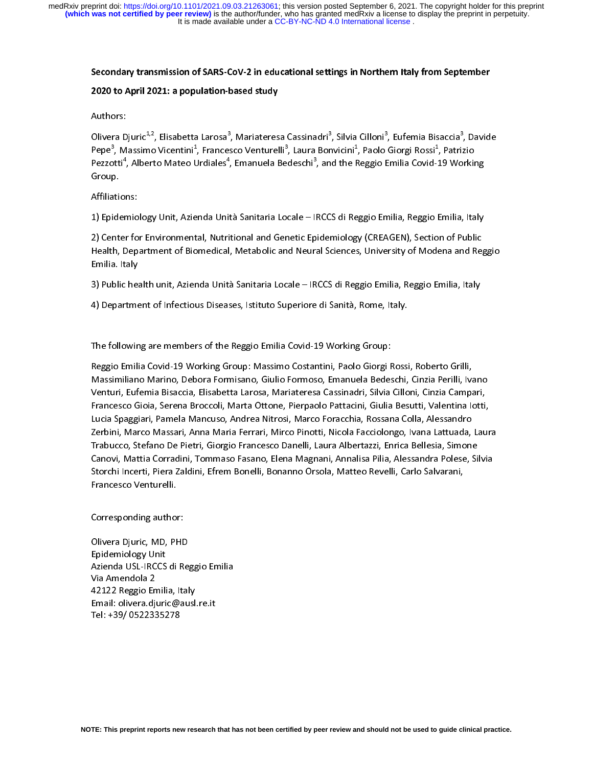# Secondary transmission of SARS-CoV-2 in educational settings in Northern Italy from September

# 2020 to April 2021: a population-based study

Authors:<br>Olivera Djuric<sup>1,2</sup>, Elisabetta Larosa<sup>3</sup>, Mariateresa Cassinadri<sup>3</sup>, Silvia Cilloni<sup>3</sup>, Eufemia Bisaccia<sup>3</sup>, Davide<br>Pepe<sup>3</sup>, Massimo Vicentini<sup>1</sup>, Francesco Venturelli<sup>3</sup>, Laura Bonvicini<sup>1</sup>, Paolo Giorgi Rossi<sup>1</sup> Olivera Djuric<sup>4,2</sup>, Elisabetta Larosa°, Mariateresa Cassinadri°, Silvia Cilloni°, Eutemia Bisaccia°<br>Pepe<sup>3</sup>, Massimo Vicentini<sup>1</sup>, Francesco Venturelli<sup>3</sup>, Laura Bonvicini<sup>1</sup>, Paolo Giorgi Rossi<sup>1</sup>, Patri;<br>Pezzotti<sup>4</sup>, Al , Davide<br>zio<br>Italy<br>Italy Pepe<sup>9</sup>, Massimo Vicentini<sup>+</sup>, Francesco Venturelli<sup>9</sup>, Laura Bonvicini<sup>1</sup>, Paolo Giorgi Rossi<sup>1</sup>, Patrizio<br>Pezzotti<sup>4</sup>, Alberto Mateo Urdiales<sup>4</sup>, Emanuela Bedeschi<sup>3</sup>, and the Reggio Emilia Covid-19 Workin<br>Group.<br>4. Prin Pezzotti<br>Group<br>Affiliatio<br>1) Epider<br>2) Cente , Alberto Mateo Urdiales", Emanuela Bedeschi°, and the Reggio Emilia Covid-19 Working<br>ns:<br>miology Unit, Azienda Unità Sanitaria Locale – IRCCS di Reggio Emilia, Reggio Emilia, Italy<br>r for Environmental, Nutritional and Gen

Starp.<br>Affiliatie<br>1) Epide<br>2) Cente<br>Health, Ammansum<br>1) Epidemio<br>2) Center fo<br>Health, Dep<br>Emilia. Italy 1) The Emilia, Nutrice Charles and Science Charles Charles Charles (CREAGEN), Section of Public<br>Health, Department of Biomedical, Metabolic and Neural Sciences, University of Modena and Reg<br>Emilia. Italy<br>3) Public health u 2) Health, Department of Biomedical, Metabolic and Neural Sciences, University of Modena and Rep<br>Emilia. Italy<br>3) Public health unit, Azienda Unità Sanitaria Locale – IRCCS di Reggio Emilia, Reggio Emilia, Italy<br>4) Departm Emilia. Italy<br>3) Public health unit, Azienda Unità Sanitaria Locale – IRCCS di Reggio Emilia, Reggio Emilia, Italy<br>4) Department of Infectious Diseases, Istituto Superiore di Sanità, Rome, Italy.

Emilia. Italy<br>3) Public hea<br>4) Departme<br>The followin 33 A) Department of Infectious Diseases, Istituto Superiore di Sanità, Rome, Italy.<br>3) Department of Infectious Diseases, Istituto Superiore di Sanità, Rome, Italy.<br>3) The following are members of the Reggio Emilia Covid-1

4) The following are members of the Reggio Emilia Covid-19 Working Group:<br>Reggio Emilia Covid-19 Working Group: Massimo Costantini, Paolo Giorgi Rossi<br>Massimiliano Marino, Debora Formisano, Giulio Formoso, Emanuela Bedesch |<br>|<br>|}<br>|} The following are members of the Reggio Emilia Covid-19 Working Group: Massimo Costantini, Paolo Giorgi F<br>Massimiliano Marino, Debora Formisano, Giulio Formoso, Emanuela Bedes<br>Venturi, Eufemia Bisaccia, Elisabetta Larosa, Massimiliano Marino, Debora Formisano, Giulio Formoso, Emanuela Bedeschi, Cinzia Perilli, Ivano<br>Venturi, Eufemia Bisaccia, Elisabetta Larosa, Mariateresa Cassinadri, Silvia Cilloni, Cinzia Campari,<br>Francesco Gioia, Serena Venturi, Eufemia Bisaccia, Elisabetta Larosa, Mariateresa Cassinadri, Silvia Cilloni, Cinzia Campari,<br>Francesco Gioia, Serena Broccoli, Marta Ottone, Pierpaolo Pattacini, Giulia Besutti, Valentina lotti,<br>Lucia Spaggiari, P Francesco Gioia, Serena Broccoli, Marta Ottone, Pierpaolo Pattacini, Giulia Besutti, Valentina lotti,<br>Lucia Spaggiari, Pamela Mancuso, Andrea Nitrosi, Marco Foracchia, Rossana Colla, Alessandro<br>Zerbini, Marco Massari, Anna Francesco Gioia, Pamela Mancuso, Andrea Nitrosi, Marco Foracchia, Rossana Colla, Alessandro<br>Zerbini, Marco Massari, Anna Maria Ferrari, Mirco Pinotti, Nicola Facciolongo, Ivana Lattuada, Laur<br>Trabucco, Stefano De Pietri, G Lucia Spaggiari, Pamela Mancuso, Mancel Mancus, Mancel Processa, Necessity, Marco Massari, Anna Maria Ferrari, Mirco Pinotti, Nicola Facciolongo, Ivana Lattuada, Trabucco, Stefano De Pietri, Giorgio Francesco Danelli, Laur Trabucco, Stefano De Pietri, Giorgio Francesco Danelli, Laura Albertazzi, Enrica Bellesia, Simone<br>Canovi, Mattia Corradini, Tommaso Fasano, Elena Magnani, Annalisa Pilia, Alessandra Polese, Silvia<br>Storchi Incerti, Piera Za Canovi, Mattia Corradini, Tommaso Fasano, Elena Magnani, Annalisa Pilia, Alessandra Polese, Si<br>Storchi Incerti, Piera Zaldini, Efrem Bonelli, Bonanno Orsola, Matteo Revelli, Carlo Salvarani,<br>Francesco Venturelli.<br>Correspon Storchi Incerti, Piera Zaldini, Efrem Bonelli, Bonanno Orsola, Matteo Revelli, Carlo Salvarani,<br>Francesco Venturelli.<br>Corresponding author: Statistical Distribution, Piera Zaladini, Efrem Bonelli, Piera Zaleni, Matteo Revelli, Piera Zalvarani, Piera<br>Corresponding author:<br>Olivera Djuric, MD, PHD<br>Enidemiology Unit

Corresponding author<br>Olivera Djuric, MD, P<del>l</del><br>Epidemiology Unit<br>Azienda USL-IRCCS di ((ドノ) Corresponding Corresponding Automorf<br>Corresponding Author:<br>Azienda USL-IRCCS di Ro<br>Via Amendola 2<br>42122 Reggio Emilia, Ita<br>Frasilualium adiunis ([//[/ - Andrew Dynar, MD, 2002<br>Epidemiology Unit<br>Azienda USL-IRCCS di Re<br>Via Amendola 2<br>42122 Reggio Emilia, Ital<br>Email: olivera.djuric@au<br>Tel: +39/ 0522335278 .<br>Azienda USL-IRCCS<br>Via Amendola 2<br>42122 Reggio Emili<br>Email: olivera.djuri<br>Tel: +39/ 05223352 Via Amendola 2<br>42122 Reggio Emilia, Italy<br>Email: olivera.djuric@ausl.re.it<br>Tel: +39/ 0522335278 42122 Reggio En<br>42122 Reggio En<br>Email: olivera.dji<br>Tel: +39/ 052233 Email: olivera.djuric@ausl.re.it<br>Tel: +39/ 0522335278 Tel: +39/ 0522335278<br>.<br>.<br>. Tel: +39/ 0522335278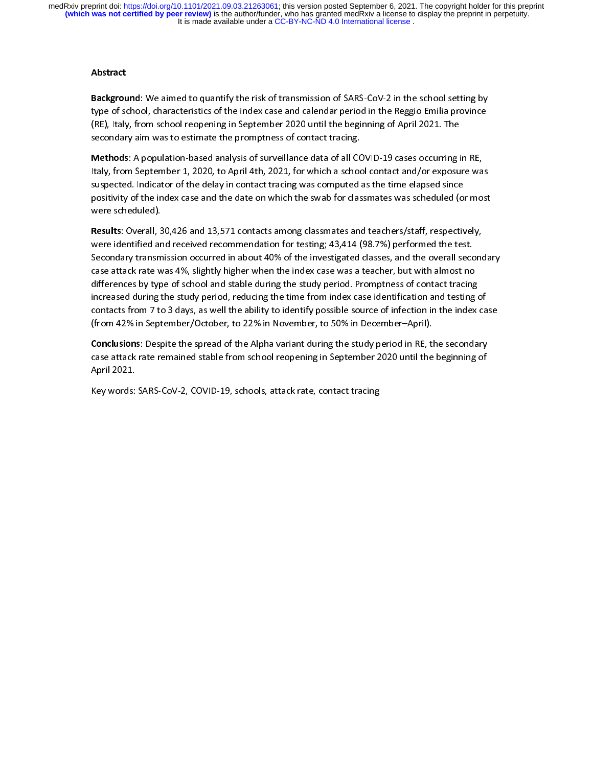# **Abstract**

Background: We aimed to quantify the risk of transmission of SARS-CoV-2 in the school setting by<br>type of school, characteristics of the index case and calendar period in the Reggio Emilia province<br>(RE), Italy, from school

(RE), Italy, from school reopening in September 2020 until the beginning of April 2021. The<br>secondary aim was to estimate the promptness of contact tracing.<br>**Methods**: A population-based analysis of surveillance data of al (Recondary aim was to estimate the promptness of contact tracing.<br>
Methods: A population-based analysis of surveillance data of all COVID-19 cases occurring if ally, from September 1, 2020, to April 4th, 2021, for which a **SECONDER SECONDER SECONDERY ADDEDED SECONDERY**<br>Secondary, from September 1, 2020, to April 4th, 2021, for which a schood<br>suspected. Indicator of the delay in contact tracing was computed a<br>positivity of the index case and Methods: A population-based analysis of surveillance data of all COVID-19 cases occurring in RE,<br>Italy, from September 1, 2020, to April 4th, 2021, for which a school contact and/or exposure was<br>suspected. Indicator of the Italy, increases the delay in contact tracing was computed as the time elapsed since<br>positivity of the index case and the date on which the swab for classmates was scheduled (or most<br>were scheduled).<br>**Results**: Overall, 30

suspected. Indicator of the delay in contact tracing tracing tracing and the suppositivity of the index case and the date on which the swab for classmates was scheduled (of were scheduled).<br> **Results**: Overall, 30,426 and positivity of the indepth and 13,571 contacts among classmates and teachers/staff, respectively,<br>**Results:** Overall, 30,426 and 13,571 contacts among classmates and teachers/staff, respectively,<br>were identified and receive Mere scheduled).<br>
Results: Overall, 3<br>
were identified ar<br>
Secondary transm<br>
case attack rate w<br>
differences by typ Results: Overall, 30,426 and 13,371 contacts among classmates and teachers/starf, respectively, were identified and received recommendation for testing; 43,414 (98.7%) performed the test.<br>Secondary transmission occurred in Secondary transmission occurred in about 40% of the investigated classes, and the overall seccese attack rate was 4%, slightly higher when the index case was a teacher, but with almost no differences by type of school and case attack rate was 4%, slightly higher when the index case was a teacher, but with almost no<br>differences by type of school and stable during the study period. Promptness of contact tracing<br>increased during the study peri differences by type of school and stable during the study period. Promptness of contact tracing<br>increased during the study period, reducing the time from index case identification and testing<br>contacts from 7 to 3 days, as differences by type of stable hand stable during and stable processed during the study period. The stable during the study to identify possible source of infection in the index<br>(from 42% in September/October, to 22% in Nov

contacts from 7 to 3 days, as well the ability to identify possible source of infection in the index case<br>(from 42% in September/October, to 22% in November, to 50% in December–April).<br>**Conclusions**: Despite the spread of (from 42% in September/October, to 22% in November, to 50% in December–April).<br>**Conclusions**: Despite the spread of the Alpha variant during the study period in RE, the secondary<br>case attack rate remained stable from schoo (from 42% in September/October, to 22% in Apple Schedular Conclusions: Despite the spread of the Alpha variant during the study period in RE, the case attack rate remained stable from school reopening in September 2020 unt Conclusions: Despite the spread of the Alpha variant during the study period in RE, the secondary<br>case attack rate remained stable from school reopening in September 2020 until the beginning of<br>April 2021.<br>Key words: SARS-April 2021.<br>Key words: SARS-CoV-2, COVID-19, schools, attack rate, contact tracing<br>

Key words: SARS-CoV-2, COVID-19, schools, attack rate, contact tracing Key words: SARS-CoV-2, COVID-19, schools, attack rate, contact tracing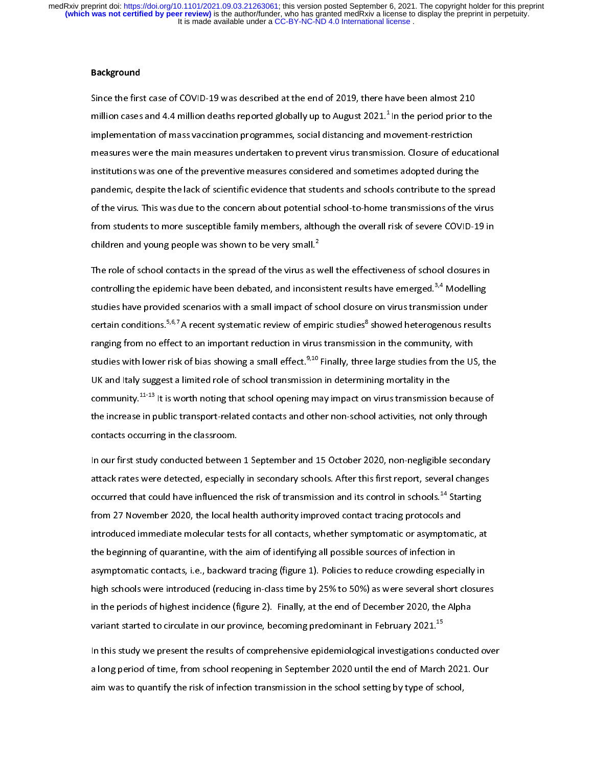It is made available under a CC-BY-NC-ND 4.0 International license. medRxiv preprint doi: [https://doi.org/10.1101/2021.09.03.21263061;](https://doi.org/10.1101/2021.09.03.21263061) this version posted September 6, 2021. The copyright holder for this preprint<br>(which was not certified by peer review) is the author/funder, who has grante

#### Background

Since the first case of COVID-19 was described at the end of 2019, there have been almost 210 million cases and 4.4 million deaths reported globally up to August 2021.<sup>1</sup> In the period prior to the implementation of mass pandemic, despite the lack of scientific evidence that students and schools contribute to the spread of the virus. This was due to the concern about potential school-to-home transmissions of the virus measures were the main measures undertaken to prevent virus transmissions of institutions was one of the preventive measures considered and sometimes adopted during the pandemic, despite the lack of scientific evidence tha mantantic that the preventive measure considered and schools contribute to the spr<br>pandemic, despite the lack of scientific evidence that students and schools contribute to the spr<br>of the virus. This was due to the concern pandemic, despite the lack of scientific entertier and school-to-home transmissions of the virus<br>of the virus. This was due to the concern about potential school-to-home transmissions of the virus<br>from students to more sus from students to more susceptible family members, although the overall risk of severe COVID-19 in<br>children and young people was shown to be very small.<sup>2</sup><br>The role of school contacts in the spread of the virus as well the

children and young people was shown to be very small.<sup>2</sup><br>The role of school contacts in the spread of the virus as well the effectiveness of school closures in<br>controlling the epidemic have been debated, and inconsistent r children and young people was shown to be very small.<sup>4</sup><br>The role of school contacts in the spread of the virus as v<br>controlling the epidemic have been debated, and incons<br>studies have provided scenarios with a small impac י<br>i<br>o Controlling the epidemic have been debated, and inconsistent results have emerged.<sup>3,4</sup> Modelling<br>studies have provided scenarios with a small impact of school closure on virus transmission under<br>certain conditions.<sup>5,6,7</sup> controlling the epidemic have been debated, and inconsistent results have emerged.<sup>3,4</sup> Modelling<br>studies have provided scenarios with a small impact of school closure on virus transmission under<br>certain conditions.<sup>5,6,7</sup> station and provided school transmit provided school transmit and the small impact certain conditions.<sup>5,6,7</sup> A recent systematic review of empiric studies<sup>8</sup> showed heterogenous results ranging from no effect to an import certain conditions.<sup>9,6,7</sup> A recent systematic review of empiric studies" showed heterogenous results<br>ranging from no effect to an important reduction in virus transmission in the community, with<br>studies with lower risk of studies with lower risk of bias showing a small effect.<sup>9,10</sup> Finally, three large studies from the U.<br>UK and Italy suggest a limited role of school transmission in determining mortality in the<br>community.<sup>11-13</sup> It is wort studies with lower risk of bias showing a small effect.<sup>9,120</sup> Finally, three large studies from the US, the UK and Italy suggest a limited role of school transmission in determining mortality in the community.<sup>11-13</sup> It i  $\begin{array}{l} \begin{array}{l} \begin{array}{l} \begin{array}{l} \end{array} \end{array} \end{array} \end{array} \end{array}$  community. $^{11\text{-}13}$  It is worth noting that school opening may impact on virus transmission l<br>the increase in public transport-related contacts and other non-scho the increase in public transport-related contacts and other non-school activities, not only through<br>contacts occurring in the classroom.<br>In our first study conducted between 1 September and 15 October 2020, non-negligible

the increases in the classroom.<br>The our first study conducted between 1 September and 15 October 2020, non-negligible secondary<br>The increase increases and the secondary schools. After this first report, several changes<br>The comment occurring in the classroom.<br>In our first study conducted betweer<br>attack rates were detected, especiall<br>occurred that could have influenced<br>from 27 November 2020, the local h In the definition of the task of transmission and its first report, several changes<br>In occurred that could have influenced the risk of transmission and its control in schools.<sup>14</sup> Starting<br>In 27 November 2020, the local he attack rates were detected that could have influenced the risk of transmission and its control in schools.<sup>14</sup> Starting<br>from 27 November 2020, the local health authority improved contact tracing protocols and<br>introduced im occurred that could have influenced the risk of transmission and its control in schools.<sup>44</sup> Starting<br>from 27 November 2020, the local health authority improved contact tracing protocols and<br>introduced immediate molecular from 27 November 2020, the recommended contacts, whether symptomatic or asymptomathe beginning of quarantine, with the aim of identifying all possible sources of infection in asymptomatic contacts, i.e., backward tracing ( inted beginning of quarantine, with the aim of identifying all possible sources of infection in<br>asymptomatic contacts, i.e., backward tracing (figure 1). Policies to reduce crowding especially in<br>high schools were introduc the beginning of quarantine, with the aim of identifying all possible sources of infection in<br>asymptomatic contacts, i.e., backward tracing (figure 1). Policies to reduce crowding especially in<br>high schools were introduced asymptomate contacts, i.e., backward tracing (i.g. to 2). Politic of contacts crowing especially in<br>high schools were introduced (reducing in-class time by 25% to 50%) as were several short closure<br>in the periods of highes in the periods of highest incidence (figure 2). Finally, at the end of December 2020, the Alpha<br>variant started to circulate in our province, becoming predominant in February 2021.<sup>15</sup><br>In this study we present the results

variant started to circulate in our province, becoming predominant in February 2021.<sup>15</sup><br>In this study we present the results of comprehensive epidemiological investigations conducte<br>a long period of time, from school reop variant started to circulate in our province, becoming predominant in February 2021.<sup>25</sup><br>In this study we present the results of comprehensive epidemiological investigations co<br>a long period of time, from school reopening In this study a long period of time, from school reopening in September 2020 until the end of March 2021. Our<br>aim was to quantify the risk of infection transmission in the school setting by type of school,<br>aim was to quant aim was to quantify the risk of infection transmission in the school setting by type of school, and the quantify the risk of infection transmission transmission in the school setting by type of school,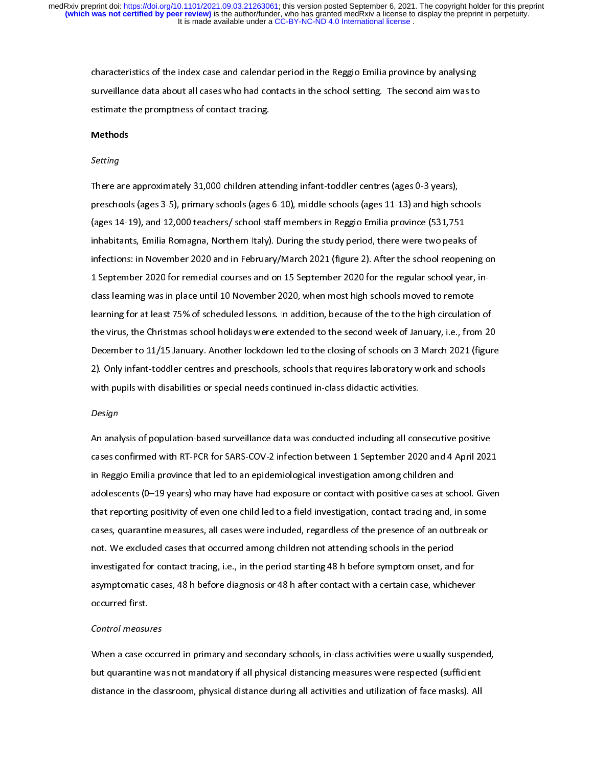characteristics of the index case and calendar period in the Reggio Emilia province by analysing<br>surveillance data about all cases who had contacts in the school setting. The second aim was to<br>estimate the promptness of co surfeillance data about all cases of contact tracing.<br> **Methods**<br>
Setting

### Methods

#### Setting

There are approximately 31,000 children attending infant-toddler centres (ages 0-3 years), preschools (ages 3-5), primary schools (ages 6-10), middle schools (ages 11-13) and high schools<br>(ages 14-19), and 12,000 teachers/ school staff members in Reggio Emilia province (531,751<br>inhabitants, Emilia Romagna, North presented (ages 14-19), and 12,000 teachers/ school staff members in Reggio Emilia province (531,751<br>inhabitants, Emilia Romagna, Northern Italy). During the study period, there were two peaks of<br>infections: in November 20 (a) the multimates 14-19), and in the study period, there were two peaks<br>infections: in November 2020 and in February/March 2021 (figure 2). After the school reoper<br>1 September 2020 for remedial courses and on 15 September infections: in November 2020 and in February/March 2021 (figure 2). After the school reopening<br>1 September 2020 for remedial courses and on 15 September 2020 for the regular school year, i<br>class learning was in place until 1 September 2020 for remedial courses and on 15 September 2020 for the regular school year, in-<br>class learning was in place until 10 November 2020, when most high schools moved to remote<br>learning for at least 75% of schedu December to 11/15 January. Another lockdown led to the closing of schools on 3 March 2021 (figure class learning for at least 75% of scheduled lessons. In addition, because of the to the high circulation<br>the virus, the Christmas school holidays were extended to the second week of January, i.e., from<br>December to 11/15 J learning for at least 75% of schedular field in a bundled to the second week of January, i.e., from 20<br>December to 11/15 January. Another lockdown led to the closing of schools on 3 March 2021 (figur<br>2). Only infant-toddle the virus) are continuated the christmas school and the closing of schools on 3 March 2021 (figure<br>2). Only infant-toddler centres and preschools, schools that requires laboratory work and schools<br>with pupils with disabili 2). Only infant-toddler centres and preschools, schools that requires laboratory work and schools<br>with pupils with disabilities or special needs continued in-class didactic activities.<br>Design with pupils with disabilities or special needs continued in-class didactic activities.<br>Design<br>An analysis of population-based surveillance data was conducted including all consecutive positive

#### Design

Design<br>An analysis of population-based surveillance data was conducted including all con<br>cases confirmed with RT-PCR for SARS-COV-2 infection between 1 September 202 Cases confirmed with RT-PCR for SARS-COV-2 infection between 1 September 2020 and 4 April 202<br>
in Reggio Emilia province that led to an epidemiological investigation among children and<br>
adolescents (0–19 years) who may hav in Reggio Emilia province that led to an epidemiological investigation among children and<br>adolescents (0–19 years) who may have had exposure or contact with positive cases at school. Given<br>that reporting positivity of even in reggio Emilia province that reaction appearance governmently simulating simulations<br>adolescents (0–19 years) who may have had exposure or contact with positive cases at sch<br>that reporting positivity of even one child le that reporting positivity of even one child led to a field investigation, contact tracing and, in some<br>cases, quarantine measures, all cases were included, regardless of the presence of an outbreak or<br>not. We excluded case that reporting positivity of excluded measures, all cases were included, regardless of the presence of an outbreak or<br>not. We excluded cases that occurred among children not attending schools in the period<br>investigated for not. We excluded cases that occurred among children not attending schools in the period<br>investigated for contact tracing, i.e., in the period starting 48 h before symptom onset, and for<br>asymptomatic cases, 48 h before diag investigated for contact tracing, i.e., in the period starting 48 h before symptom onset, and<br>asymptomatic cases, 48 h before diagnosis or 48 h after contact with a certain case, which<br>occurred first.<br>Control measures investment assumptomatic cases, 48 h before diagnosis or 48 h after contact with a certain case, whichever<br>occurred first.<br>Control measures asymptomatic cases, 48 h before angles in 48 h after contact with a certain case, which<br>control measures<br>When a case occurred in primary and secondary schools, in-class activities were usually suspended.

#### Control measures

Control measu<br>When a case o<br>but quarantine MHA CHE CONCOMP pRIMA, SUMPEDENTARY CONCUPTION IN ANDELEMENTARY SUPPORTHY,<br>but quarantine was not mandatory if all physical distancing measures were respected (sufficient<br>distance in the classroom, physical distance during distance in the classroom, physical distance during all activities and utilization of face masks). All<br>distance in the classroom, physical distance during all activities and utilization of face masks). All distance in the classroom, physical distance during all activities and utilization of face masks). All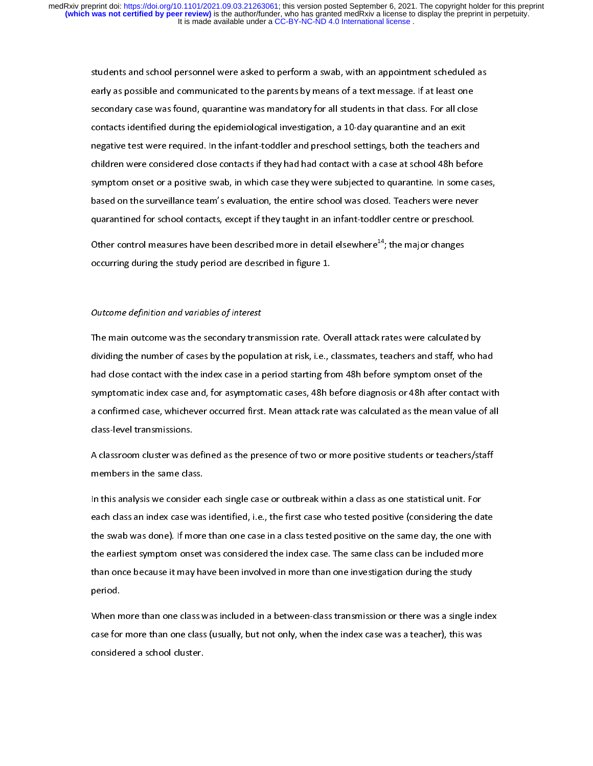students and school personnel were asked to perform a swab, with an appointment scheduled as<br>early as possible and communicated to the parents by means of a text message. If at least one<br>secondary case was found, quarantin examplary case was found, quarantine was mandatory for all students in that class. For all close<br>contacts identified during the epidemiological investigation, a 10-day quarantine and an exit<br>negative test were required. In secondary case was found that the manufatory for all students in that class contacts identified during the epidemiological investigation, a 10-day quarantine and an exit negative test were required. In the infant-toddler a contacts identified during the epidemiological interaction, a 10-day quarantine and an end-<br>negative test were required. In the infant-toddler and preschool settings, both the teachers a<br>children were considered close cont negative test were required. In the infant-toddler and present settings, because the children were considered close contacts if they had had contact with a case at school 48h before symptom onset or a positive swab, in whi symptom onset or a positive swab, in which case they were subjected to quarantine. In some case<br>based on the surveillance team's evaluation, the entire school was closed. Teachers were never<br>quarantined for school contacts based on the surveillance team's evaluation, the entire school was closed. Teachers were never<br>quarantined for school contacts, except if they taught in an infant-toddler centre or preschool.<br>Other control measures have b

quarantined for school contacts, except if they taught in an infant-toddler centre or preschool.<br>Other control measures have been described more in detail elsewhere<sup>14</sup>; the major changes<br>occurring during the study period Other control measures have been described more in detail elsewhere<sup>14</sup>; the major changes occurring during the study period are described in figure 1. Other control measures have been described more in detail elsewhere<sup>44</sup>; the major changes<br>occurring during the study period are described in figure 1.<br>Outcome definition and variables of interest

#### Outcome definition and variables of interest

occurring during the study period are described in figure 1.<br>Outcome definition and variables of interest<br>The main outcome was the secondary transmission rate. Overall attack rates were calculated by dividing the number of cases by the population at risk, i.e., classmates, teachers and staff, who had<br>had close contact with the index case in a period starting from 48h before symptom onset of the<br>symptomatic index case a symptomatic index case and, for asymptomatic cases, 48h before diagnosis or 48h after contact with<br>a confirmed case, whichever occurred first. Mean attack rate was calculated as the mean value of all<br>class-level transmissi had close contact with the independent operator and period starting from 1911 to the symptomatic index case and, for asymptomatic cases, 48h before diagnosis or 48h after contact v<br>a confirmed case, whichever occurred firs symptom a confirmed case, whichever occurred first. Mean attack rate was calculated as the mean value of all<br>class-level transmissions.<br>A classroom cluster was defined as the presence of two or more positive students or te

class-level transmissions.<br>A classroom cluster was defined as the presence of two or more positive students or teachers/staff<br>members in the same class. class-level transmissions.<br>A classroom cluster was d<br>members in the same clas<br>In this analysis we conside

members in the same class.<br>A class an alysis we consider each single case or outbreak within a class as one statistical unit. For<br>the swab was done). If more than one case in a class tested positive on the same day, the on In this analysis we consider<br>each class an index case was<br>the swab was done). If more<br>the earliest symptom onset each class an index case was identified, i.e., the first case who tested positive (considering the da<br>the swab was done). If more than one case in a class tested positive on the same day, the one wit<br>the earliest symptom o the swab was done). If more than one case in a class tested positive on the same day, the one with<br>the earliest symptom onset was considered the index case. The same class can be included more<br>than once because it may have the earliest symptom onset was considered the index case. The same class can be included more<br>than once because it may have been involved in more than one investigation during the study<br>period.<br>When more than one class was than once because it may have been involved in more than one investigation during the study<br>period.<br>When more than one class was included in a between-class transmission or there was a single ind<br>case for more than one cla

period.<br>When more than one class was included in a between-class transmission or there was a single<br>case for more than one class (usually, but not only, when the index case was a teacher), this w<br>considered a school cluste r<br>When n<br>case for<br>conside case for more than one class (usually, but not only, when the index case was a teacher), this was<br>considered a school cluster. case for more than one class (usually, but not only, when the index case was a teacher), this was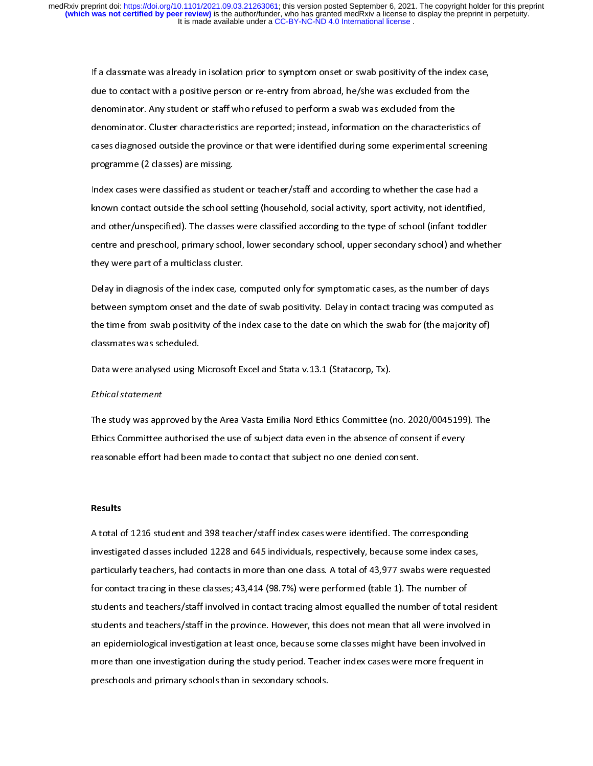If a class of the contact with a positive person or re-entry from abroad, he/she was excluded from the<br>denominator. Any student or staff who refused to perform a swab was excluded from the<br>denominator. Cluster characterist denominator. Any student or staff who refused to perform a swab was excluded from the<br>denominator. Cluster characteristics are reported; instead, information on the characteristics<br>cases diagnosed outside the province or t denominator. Cluster characteristics are reported; instead, information on the characterist<br>cases diagnosed outside the province or that were identified during some experimental sc<br>programme (2 classes) are missing.<br>Index denominator. Cluster characteristics are reported; instead, incrementation on the characteristics of<br>cases diagnosed outside the province or that were identified during some experimental screenin<br>programme (2 classes) are

programme (2 classes) are missing.<br>Index cases were classified as student or teacher/staff and according to whether the case had a<br>known contact outside the school setting (household, social activity, sport activity, not i programme (2 classified as stude<br>
known contact outside the school st<br>
and other/unspecified). The classes<br>
centre and preschool, primary school Index cases were classified, social activity, sport activity, not identified<br>and other/unspecified). The classes were classified according to the type of school (infant-toddle<br>centre and preschool, primary school, lower se know the school and other/unspecified). The classes were classified according to the type of school (infant-toddler<br>centre and preschool, primary school, lower secondary school, upper secondary school) and whet<br>they were p and other, any cannot, the classes were classed according to the type of school, induced and<br>centre and preschool, primary school, lower secondary school, upper secondary school) and whetl<br>they were part of a multiclass cl

centre and present of a multiclass cluster.<br>Celay in diagnosis of the index case, computed only for symptomatic cases, as the number of days<br>between symptom onset and the date of swab positivity. Delay in contact tracing w they were part of a multitude character.<br>Delay in diagnosis of the index case, co<br>between symptom onset and the date<br>the time from swab positivity of the in<br>classmates was scheduled. Detween symptom onset and the date of swab positivity. Delay in contact tracing was computed as<br>the time from swab positivity of the index case to the date on which the swab for (the majority of)<br>classmates was scheduled.<br> the time from swab positivity of the index case to the date on which the swab for (the majority of)<br>classmates was scheduled.<br>Data were analysed using Microsoft Excel and Stata v.13.1 (Statacorp, Tx). the time from swab positivity of the symal positivity of the index case to the data were analysed using Microsoft Excel and Stata v.13.1 (Statacorp, Tx).<br>Ethical statement

# Ethical statement

classmates was scheduled.<br>Data were analysed using N<br>Ethical statement<br>The study was approved by Ethical statement<br>Data were analysed using Microsoft Excel and State (Chancerp, Tx).<br>The study was approved by the Area Vasta Emilia Nord Ethics Committee (<br>Ethics Committee authorised the use of subject data even in the a The study was approved by divided by the Area Value Emilia Nord Emiliance (nord 2021) (10.2021). The<br>Ethics Committee authorised the use of subject data even in the absence of consent if every<br>reasonable effort had been ma Ethics Committee authorised the use of subject data even in the absence of consent if every<br>reasonable effort had been made to contact that subject no one denied consent.

#### Results

A total of 1216 student and 398 teacher/staff index cases were identified. The corresponding Investigated classes included 1228 and 645 individuals, respectively, because some index case<br>particularly teachers, had contacts in more than one class. A total of 43,977 swabs were reque<br>for contact tracing in these clas particularly teachers, had contacts in more than one class. A total of 43,977 swabs were request<br>for contact tracing in these classes; 43,414 (98.7%) were performed (table 1). The number of<br>students and teachers/staff invo particularly teachers, had contact moments into the contact tracts in the total of the problem for contact tracing in these classes; 43,414 (98.7%) were performed (table 1). The number of total residents and teachers/staff students and teachers/staff involved in contact tracing almost equalled the number of total restudents and teachers/staff in the province. However, this does not mean that all were involved an epidemiological investigation students and teachers/staff in the province. However, this does not mean that all were involved in<br>an epidemiological investigation at least once, because some classes might have been involved in<br>more than one investigatio an epidemiological investigation at least once, because some classes might have been involved in<br>more than one investigation during the study period. Teacher index cases were more frequent in<br>preschools and primary schools more than one investigation during the study period. Teacher index cases were more frequent in<br>preschools and primary schools than in secondary schools. preschools and primary schools than in secondary schools.<br>Teacher in during the study period. The study period is well as well as well as the study of the study of the study of the study of the study of the study of the st preschools and primary schools than in secondary schools.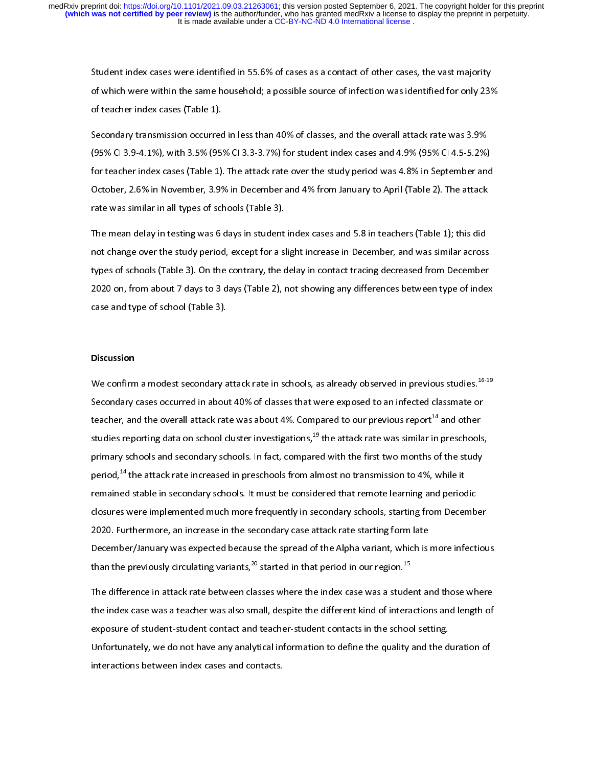Student index cases were identified in 55.6% of cases as a contact of other cases, the vast majority<br>of which were within the same household; a possible source of infection was identified for only 23%<br>of teacher index case

of teacher index cases (Table 1).<br>Secondary transmission occurred in less than 40% of classes, and the overall attack rate was 3.9%<br>(95% CI 3.9-4.1%), with 3.5% (95% CI 3.3-3.7%) for student index cases and 4.9% (95% CI 4. Secondary transmission occurred in less than 40% of classes, and the overall attack rate was 3.9%<br>(95% CI 3.9-4.1%), with 3.5% (95% CI 3.3-3.7%) for student index cases and 4.9% (95% CI 4.5-5.2%)<br>for teacher index cases (T (95% CI 3.9-4.1%), with 3.5% (95% CI 3.3-3.7%) for student index cases and 4.9% (95% CI 4.5-5.2%)<br>for teacher index cases (Table 1). The attack rate over the study period was 4.8% in September an<br>October, 2.6% in November, (95%) CI 3.5% CI 3.5% CI 3.5% (95% CI 3.5%) for teacher index cases (Table 1). The attack rate over the study period was 4.8% in September and October, 2.6% in November, 3.9% in December and 4% from January to April (Table for teacher indentials and cases (Table 2). The attacher independent of the study period was the cases (Table 2). The attack rate was similar in all types of schools (Table 3).<br>The mean delay in testing was 6 days in stude

The mean delay in testing was 6 days in student index cases and 5.8 in teachers (Table 1); this did<br>not change over the study period, except for a slight increase in December, and was similar across<br>types of schools (Table rate was similar in all types of schools (table 2).<br>The mean delay in testing was 6 days in student<br>not change over the study period, except for a sl<br>types of schools (Table 3). On the contrary, the c<br>2020 on, from about 7 The mean delay increase in December, and was similar across<br>types of schools (Table 3). On the contrary, the delay in contact tracing decreased from December<br>2020 on, from about 7 days to 3 days (Table 2), not showing any types of schools (Table 3). On the contrary, the delay in contact tracing decreased from December<br>2020 on, from about 7 days to 3 days (Table 2), not showing any differences between type of index<br>case and type of school (T 2020 on, from about 7 days to 3 days (Table 2), not showing any differences between type of index<br>case and type of school (Table 3).  $202$  or, from about 7 days (Table 3), not show that  $\frac{1}{2}$  days (Table 3), not show that  $\frac{1}{2}$  decrees between type of school (Table 3),  $\frac{1}{2}$ 

# **Discussion**

We confirm a modest secondary attack rate in schools, as already observed in previous studies.<sup>16-19</sup>  $\frac{1}{2}$ We confirm a modest secondary attack rate in schools, as already observed in previous studies.<sup>16-19</sup><br>Secondary cases occurred in about 40% of classes that were exposed to an infected classmate or<br>teacher, and the overall Example, and the overall attack rate was about 4%. Compared to our previous report<sup>14</sup> and other studies reporting data on school cluster investigations,<sup>19</sup> the attack rate was similar in preschools primary schools and se teacher, and the overall attack rate was about 4%.<br>studies reporting data on school cluster investigation<br>primary schools and secondary schools. In fact, cor<br>period,<sup>14</sup> the attack rate increased in preschools fro<br>remained Compared to our previous report<sup>-4</sup> and other<br>ons,<sup>19</sup> the attack rate was similar in preschools<br>npared with the first two months of the study<br>om almost no transmission to 4%, while it<br>onsidered that remote learning and pe studies reporting data on school cluster investigations,<sup>25</sup> the attack rate was similar in preschools,<br>primary schools and secondary schools. In fact, compared with the first two months of the study<br>period,<sup>14</sup> the attack period,<sup>14</sup> the attack rate increased in preschools from almost no transmission to 4%, while it<br>remained stable in secondary schools. It must be considered that remote learning and periodic<br>closures were implemented much m period,<sup>44</sup> the attack rate increased in preschools from almost no transmission to 4%, while it<br>remained stable in secondary schools. It must be considered that remote learning and perioc<br>closures were implemented much mor remained stable in secondary schools, starting from Decemb<br>closures were implemented much more frequently in secondary schools, starting from Decemb<br>2020. Furthermore, an increase in the secondary case attack rate starting 2020. Furthermore, an increase in the secondary case attack rate starting form late<br>December/January was expected because the spread of the Alpha variant, which is more infectiout<br>than the previously circulating variants, 2020. Furthermore, an increase in the secondary case attack rate starting form late<br>December/January was expected because the spread of the Alpha variant, which is more infectious<br>than the previously circulating variants,<sup></sup>

The difference in attack rate between classes where the index case was a student and those where<br>the difference in attack rate between classes where the index case was a student and those where<br>the index case was a teacher exposure of student-student contact and teacher-student contacts in the school setting. The index case was a teacher was also small, despite the different kind of interactions and length of exposure of student-student contact and teacher-student contacts in the school setting.<br>Unfortunately, we do not have an the index case was a teacher was also suppose the different kind of interactions and reagancy<br>exposure of student-student contact and teacher-student contacts in the school setting.<br>Unfortunately, we do not have any analyt exponentially, we do not have any analytical information to define the quality and the d<br>interactions between index cases and contacts.<br>interactions between index cases and contacts. Unifortunately, we do not have a not have any analytical information of the duration of  $\mathcal{L}$  is an alytical information of  $\mathcal{L}$  is an alytical information of  $\mathcal{L}$  is an alytical information of  $\mathcal{L}$  is an a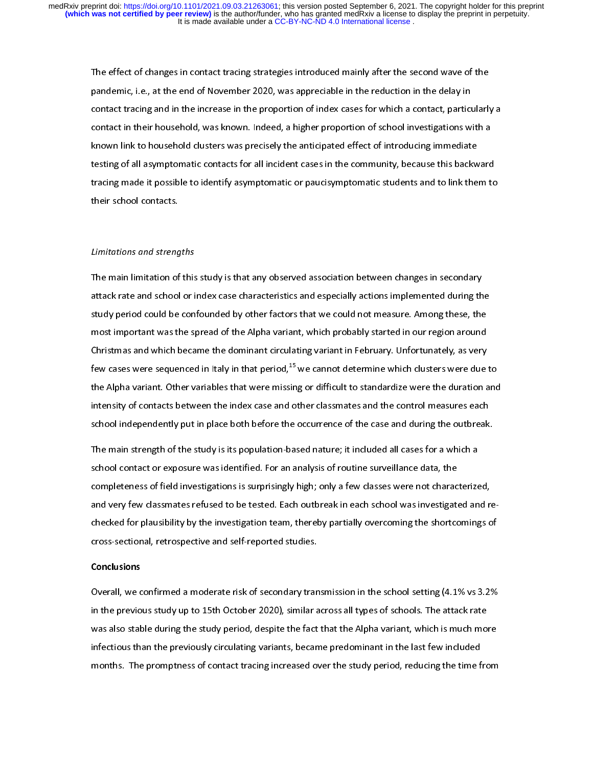pandemic, i.e., at the end of November 2020, was appreciable in the reduction in the delay in<br>contact tracing and in the increase in the proportion of index cases for which a contact, particularly<br>contact in their househol particular tracing and in the increase in the proportion of index cases for which a contact, particular contact in their household, was known. Indeed, a higher proportion of school investigations w<br>known link to household contact in their household, was known. Indeed, a higher proportion of school investigations with a<br>known link to household clusters was precisely the anticipated effect of introducing immediate<br>testing of all asymptomatic contact in their model in the international proportion proportion of the community, have introducing immediate<br>testing of all asymptomatic contacts for all incident cases in the community, because this backward<br>tracing mad testing of all asymptomatic contacts for all incident cases in the community, because this backwording made it possible to identify asymptomatic or paucisymptomatic students and to link the their school contacts. tracing made it possible to identify asymptomatic or paucisymptomatic students and to link them to<br>their school contacts. their school contacts.<br>Limitations and strengths

### Limitations and strengths

The main limitation of this study is that any observed association between changes in secondary  $\frac{1}{2}$ attack rate and school or index case characteristics and especially actions implemented during the<br>study period could be confounded by other factors that we could not measure. Among these, the<br>most important was the spread atudy period could be confounded by other factors that we could not measure. Among these, the<br>most important was the spread of the Alpha variant, which probably started in our region around<br>Christmas and which became the d study period counded the spread of the Alpha variant, which probably started in our region around<br>Christmas and which became the dominant circulating variant in February. Unfortunately, as very<br>few cases were sequenced in Christmas and which became the dominant circulating variant in February. Unfortunately, as very<br>few cases were sequenced in Italy in that period,<sup>15</sup> we cannot determine which clusters were due<br>the Alpha variant. Other var Few cases were sequenced in Italy in that period,<sup>15</sup> we cannot determine which clusters were due<br>the Alpha variant. Other variables that were missing or difficult to standardize were the duration a<br>intensity of contacts b the Alpha variant. Other variables that were missing or difficult to standardize were the duration and<br>intensity of contacts between the index case and other classmates and the control measures each<br>school independently pu the Alpha variables that also there interests and other classmates and the control measures each<br>school independently put in place both before the occurrence of the case and during the outbreak.<br>The main strength of the st

school independently put in place both before the occurrence of the case and during the outbreak<br>The main strength of the study is its population-based nature; it included all cases for a which a<br>school contact or exposure The main strength of the study is its population-based nature; it included all cases for a which a<br>school contact or exposure was identified. For an analysis of routine surveillance data, the<br>completeness of field investig School contact or exposure was identified. For an analysis of routine surveillance data, the<br>completeness of field investigations is surprisingly high; only a few classes were not characterize<br>and very few classmates refus school completeness of field investigations is surprisingly high; only a few classes were not charace and very few classmates refused to be tested. Each outbreak in each school was investigated.<br>Checked for plausibility by and very few classmates refused to be tested. Each outbreak in each school was investigated and reflecked for plausibility by the investigation team, thereby partially overcoming the shortcomings coross-sectional, retrospe cross-sectional, retrospective and self-reported studies.<br>Conclusions<br>Overall, we confirmed a moderate risk of secondary transmission in the school setting (4.1% vs 3.2%

#### Conclusions

cross-sectional, retrospective and self-reported studies.<br> **Conclusions**<br>
Overall, we confirmed a moderate risk of secondary transmission in the school setting (4.1% vs 3.2<br>
in the previous study up to 15th October 2020), or the previous study up to 15th October 2020), similar across all types of schools. The attack rate<br>was also stable during the study period, despite the fact that the Alpha variant, which is much more<br>infectious than the was also stable during the study period, despite the fact that the Alpha variant, which is much more<br>infectious than the previously circulating variants, became predominant in the last few included infectious than the previously circulating variants, became predominant in the last few included<br>months. The promptness of contact tracing increased over the study period, reducing the time from<br>months. The promptness of c infectious. The promptness of contact tracing increased over the study period, reducing the time few inclusions, and the last few inclusions,  $\frac{1}{2}$ months. The promptness of contact tracing increased over the study period, reducing the time from  $\mathcal{G}$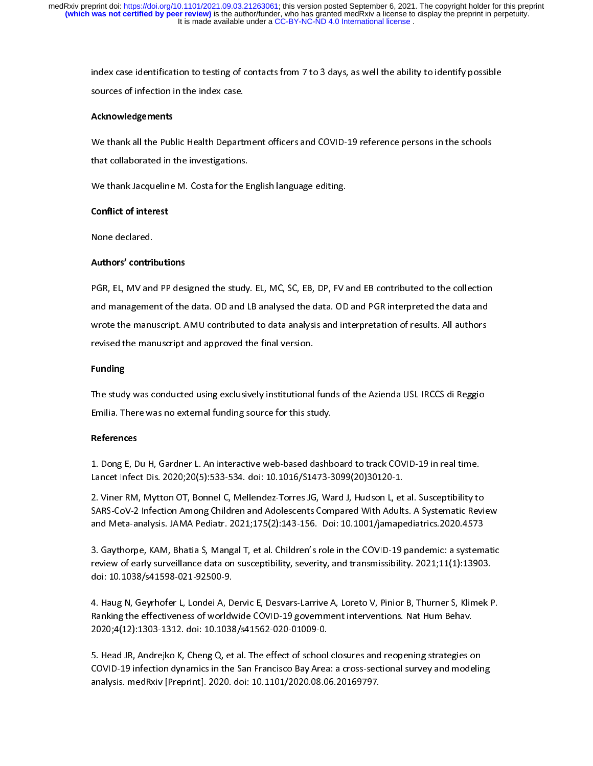### Acknowledgements

index case.<br>**Acknowledgements**<br>We thank all the Public Health Department officers and COVID-19 reference persons in the schools source of infection in the index case.<br>Acknowledgements<br>We thank all the Public Health Departi<br>that collaborated in the investigations That collaborated in the investigations.<br>We thank Jacqueline M. Costa for the English language editing.<br>Conflict of interest

that collaborated in the investigations.<br>We thank Jacqueline M. Costa for the English language editing.<br>Conflict of interest<br>None declared.

### Conflict of interest

# We thank Jacqueline M. Considering Language editing.<br>
Conflict of interest<br>
None declared.<br>
Authors' contributions Authors' contributions

PGR, EL, MV and PP designed the study. EL, MC, SC, EB, DP, FV and EB contributed to the collection<br>and management of the data. OD and LB analysed the data. OD and PGR interpreted the data and and management of the data. OD and LB analysed the data. OD and PGR interpreted the data and<br>wrote the manuscript. AMU contributed to data analysis and interpretation of results. All authors<br>revised the manuscript and appr and mangement of the data. On and LB analysis and LB analysis and interpretation of results. All authors revised the manuscript and approved the final version.<br>Funding<br>Funding revised the manuscript and approved the final version.<br>**Funding**<br>The study was conducted using exclusively institutional funds of the Azienda USL-IRCCS di Reggio

# Funding

Funding<br>The study was conducted using exclusively institutional<br>Emilia. There was no external funding source for this sti

### References

The study was conducted using undertoon, institutional funds of the Azienda USL-IRC di Reggio<br>Emilia. There was no external funding source for this study.<br>1. Dong E, Du H, Gardner L. An interactive web-based dashboard to t Emilia. There was no external funding source for this study.<br>
References<br>
1. Dong E, Du H, Gardner L. An interactive web-based dashb<br>
Lancet Infect Dis. 2020;20(5):533-534. doi: 10.1016/S1473-3<br>
2. Vines PM, Mytton OT, Bon

Lancet Infect Dis. 2020;20(5):533-534. doi: 10.1016/S1473-3099(20)30120-1.<br>2. Viner RM, Mytton OT, Bonnel C, Mellendez-Torres JG, Ward J, Hudson L, et al. Susceptibility to<br>SARS-CoV-2 Infection Among Children and Adolescen 2. Viner RM, Mytton OT, Bonnel C, Mellendez-Torres JG, Ward J, Hudson L, et<br>SARS-CoV-2 Infection Among Children and Adolescents Compared With Adult<br>and Meta-analysis. JAMA Pediatr. 2021;175(2):143-156. Doi: 10.1001/jamape<br>

SARS-CoV-2 Infection Among Children and Adolescents Compared With Adults. A Systematic Revi<br>and Meta-analysis. JAMA Pediatr. 2021;175(2):143-156. Doi: 10.1001/jamapediatrics.2020.4573<br>3. Gaythorpe, KAM, Bhatia S, Mangal T, and Meta-analysis. JAMA Pediatr. 2021;175(2):143-156. Doi: 10.1001/jamapediatrics.2020.4573<br>3. Gaythorpe, KAM, Bhatia S, Mangal T, et al. Children's role in the COVID-19 pandemic: a systematic<br>review of early surveillance and Meta-Meta-analysis. Jaman Pediatr. 2021;196. 2021;2021;2021;2021;176. 2021;176. 2021;176. 309;18. 2021;17<br>3. Gaythorpe, KAM, Bhatia S, Mangal T, et al. Children's role in the COVID-19 pandemic: a system<br>review of early :<br>r<br>d F

3. Feview of early surveillance data on susceptibility, severity, and transmissibility. 2021;11(1):13903.<br>doi: 10.1038/s41598-021-92500-9.<br>4. Haug N, Geyrhofer L, Londei A, Dervic E, Desvars-Larrive A, Loreto V, Pinior B, review of early surveillance data on susceptibility, severity, and transmission,  $j = 12.5 - (2.7 - 14)$ <br>doi: 10.1038/s41598-021-92500-9.<br>4. Haug N, Geyrhofer L, Londei A, Dervic E, Desvars-Larrive A, Loreto V, Pinior B, Thurn 4. Haug N, Geyrhofer L, Londei A, D<br>Ranking the effectiveness of worldv<br>2020;4(12):1303-1312. doi: 10.1038<br>5. Head JR, Andrejko K, Cheng Q, et ム トニュー 2020;4(12):1303-1312. doi: 10.1038/s41562-020-01009-0.<br>5. Head JR, Andrejko K, Cheng Q, et al. The effect of school closures and reopening strategies on

1. Hang N, Geymandei J, Edmarty, Edmarty, Edmarty, Edmarty, Edmarty, Thurster, Ammerica, Ranking the effectiveness of worldwide COVID-19 government interventions. Nat Hum Behav.<br>2020;4(12):1303-1312. doi: 10.1038/s41562-02 analysis. medRxiv [Preprint]. 2020. doi: 10.1101/2020.08.06.20169797. יַ<br>( ה COVID-19 infection dynamics in the San Francisco Bay Area: a cross-sectional survey and modeling analysis. medRxiv [Preprint]. 2020. doi: 10.1101/2020.08.06.20169797.<br>
San Francisco Bay Area: a cross-section<br>
The San Francisco Bay Area: a cross-section<br>
The San Francisco Bay Area: a cross-section<br>
The San Francisco Ba analysis. media preprint]. 2020. doi: 10.1101/2020. doi: 10.1101/2020.<br>10.1101/2020. doi: 10.1101/2020.<br>10.1101/2020.08.06.20169797.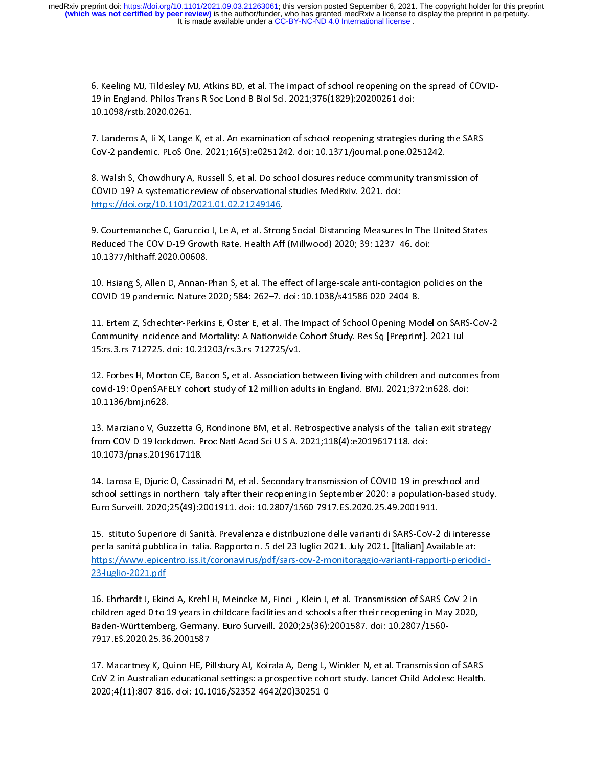6. Keeling MJ, Tildesley MJ, Atkins BD, et al. The impact of school reopening on the spread of COVID-

10.1098/rstb.2020.0261.<br>7. Landeros A, Ji X, Lange K, et al. An examination of school reopening strategies<br>CoV-2 pandemic. PLoS One. 2021;16(5):e0251242. doi: 10.1371/journal.pone.02<br>8. Walsh S, Chowdhury A, Russell S, et

-------,-------------<br>7. Landeros A, Ji X, Lange<br>CoV-2 pandemic. PLoS Or<br>8. Walsh S, Chowdhury A,<br>COVID-19? A systematic r - ,<br>{<br>{<br><u>|</u> CoV-2 pandemic. PLoS One. 2021;16(5):e0251242. doi: 10.1371/journal.pone.0251242.<br>8. Walsh S, Chowdhury A, Russell S, et al. Do school closures reduce community transmission of<br>COVID-19? A systematic review of observationa }<br>|<br>|}

COVID-19? A systematic review of observational studies MedRxiv. 2021. doi:<br>https://doi.org/10.1101/2021.01.02.21249146.<br>9. Courtemanche C, Garuccio J, Le A, et al. Strong Social Distancing Measures In The United State<br>Redu Referred Entry Premins Corred Treview of observations of the system of the system of the Covid-1101/2021.01.02.21249146.<br>
2. Courtemanche C, Garuccio J, Le A, et al. Strong Social Distancing Measures<br>
Reduced The COVID-19 Marken, Marian Marken, Marken, Marken, Marken<br>19. Courtemanche C, Garuccio J, Le A, et al. Stron<br>Reduced The COVID-19 Growth Rate. Health Aff<br>10.1377/hlthaff.2020.00608.<br>10. Hsiang S, Allen D, Annan-Phan S, et al. The e 9. Courtemanche C, Garactect C, Garuccio J, Le A, et al. The C, Millwood) 2020; 39: 1237–46. doi:<br>10.1377/hlthaff.2020.00608.<br>10. Hsiang S, Allen D, Annan-Phan S, et al. The effect of large-scale anti-contagion policies on

10.1377/hlthaff.2020.00608.<br>10. Hsiang S, Allen D, Annan-Phan S, et al. The effect of large-scale anti-contagion pc<br>COVID-19 pandemic. Nature 2020; 584: 262–7. doi: 10.1038/s41586-020-2404-8.<br>11. Ertem Z, Schechter-Perkins

10. Hsiang S, Allen D, Annan-F<br>10. Hsiang S, Allen D, Annan-F<br>20VID-19 pandemic. Nature<br>11. Ertem Z, Schechter-Perkin<br>Community Incidence and Mo .<br>.<br>.<br>. 20. Hold D, Analysis, Annan-Phan S, 20. Hold D, 20. Hold D, 20. Hold D, 20. Hold D, 20. Hold D, 20. Hold D, 20<br>11. Ertem Z, Schechter-Perkins E, Oster E, et al. The Impact of School Opening Model on SARS-Co<br>20. Hold D, Sch THE STRIM INTERT IN THE Impact of School Opening Mo<br>11. Ertem Z, Schechter-Perkins E, Oster E, et al. The Impact of School Opening Mo<br>15:rs.3.rs-712725. doi: 10.21203/rs.3.rs-712725/v1.<br>12. Forbes H, Morton CE, Bacon S, et 

Community Incidence and Mortality: A Nationwide Cohort Study. Res Sq [Preprint]. 2021 Jul<br>15:rs.3.rs-712725. doi: 10.21203/rs.3.rs-712725/v1.<br>12. Forbes H, Morton CE, Bacon S, et al. Association between living with childre 15:rs.3.rs-712725. doi: 10.21203/rs.3.rs-712725/v1.<br>12. Forbes H, Morton CE, Bacon S, et al. Association between living with children and outcon<br>covid-19: OpenSAFELY cohort study of 12 million adults in England. BMJ. 2021; 12: Forbes H, Morton CE, Bacon S, et al. Association<br>12. Forbes H, Morton CE, Bacon S, et al. Association<br>10.1136/bmj.n628.<br>13. Marziano V, Guzzetta G, Rondinone BM, et al. Re 

covid-19: OpenSAFELY cohort study of 12 million adults in England. BMJ. 2021;372:n628. doi:<br>10.1136/bmj.n628.<br>13. Marziano V, Guzzetta G, Rondinone BM, et al. Retrospective analysis of the Italian exit strategy<br>from COVID-10.1136/bmj.n628.<br>13. Marziano V, Guzzetta G, Rondinone BM, et al. Retrospective analysis of the Italian exit strategy<br>from COVID-19 lockdown. Proc Natl Acad Sci U S A. 2021;118(4):e2019617118. doi:<br>10.1073/pnas.2019617118 from COVID-19 lockdown. Proc Natl Acad Sci U S A. 2021;118(4):e2019617118. doi:<br>10.1073/pnas.2019617118.<br>14. Larosa E, Djuric O, Cassinadri M, et al. Secondary transmission of COVID-19 in preschool and 

from COVID-19 lockdown. Proc Natl Acad Sci U S A. 2021;118(4):e2019617118. doi:<br>10.1073/pnas.2019617118.<br>14. Larosa E, Djuric O, Cassinadri M, et al. Secondary transmission of COVID-19 in preschool and<br>school settings in n 10.1073/pnas.2019617118.<br>14. Larosa E, Djuric O, Cassinadri M, et al. Secondary transmission of COVID-19 in pr<br>school settings in northern Italy after their reopening in September 2020: a populati<br>Euro Surveill. 2020;25(49 111111977<br>14. Larosa E, Djuric O, Cassir<br>school settings in northern II<br>Euro Surveill. 2020;25(49):21<br>15. Istituto Superiore di Sani ・ミード

14. Larosa E, D., Larosa E, D., Larosa E, D., Larosa E, D., Larosa E, D., Larosa E, D., Larosa E, B., Larosa E, B., Larosa E, B., Larosa E, D., Larosa E, D., Larosa E, D., Larosa E, D., Larosa E, D., Larosa E, D., Larosa E school settings in northern Italy after their reopening in superimeric 2020, population after a charge.<br>Euro Surveill. 2020;25(49):2001911. doi: 10.2807/1560-7917.ES.2020.25.49.2001911.<br>15. Istituto Superiore di Sanità. Pr 15. Istituto Superiore di Sanità. Prevalenza e distribuzione delle varianti di SARS-CoV-2<br>per la sanità pubblica in Italia. Rapporto n. 5 del 23 luglio 2021. July 2021. [Italian] Ava<br>https://www.epicentro.iss.it/coronaviru  $\begin{array}{c} \begin{array}{c} \begin{array}{c} \end{array}\\ \begin{array}{c} \end{array}\\ \begin{array}{c} \end{array}\\ \begin{array}{c} \end{array}\\ \begin{array}{c} \end{array}\\ \begin{array}{c} \end{array}\\ \begin{array}{c} \end{array}\\ \begin{array}{c} \end{array}\\ \begin{array}{c} \end{array}\\ \begin{array}{c} \end{array}\\ \begin{array}{c} \end{array}\\ \begin{array}{c} \end{array}\\ \begin{array}{c} \end{array}\\ \begin{array}{c} \end{array}\\ \begin{array}{c} \end{array}\\ \begin{array}{c} \end{array}\\ \begin{array}{c} \end{array}\\ \begin$ per la sanità pubblica in Italia. Rapporto n. 5 del 23 luglio 2021. July 2021. [Italian] Available at:<br>https://www.epicentro.iss.it/coronavirus/pdf/sars-cov-2-monitoraggio-varianti-rapporti-periodici-<br>23-luglio-2021.pdf<br>16

7917.ES.2020.25.36.2001587 23-luglio-2021.pdf<br>16. Ehrhardt J, Ekinci A, Krehl H, Meincke M, Finci I, Klein J, et al. Transmission of SARS-CoV-2 in<br>children aged 0 to 19 years in childcare facilities and schools after their reopening in May 2020,<br>Bad  $rac{1}{2}$ children aged 0 to 19 years in childcare facilities and schools after their reopening in May 2020,<br>Baden-Württemberg, Germany. Euro Surveill. 2020;25(36):2001587. doi: 10.2807/1560-<br>7917.ES.2020.25.36.2001587<br>17. Macartney

children aged 2 to 19 years in children children and states and schools and schools and speak.<br>Baden-Württemberg, Germany. Euro Surveill. 2020;25(36):2001587. doi: 10.2807/1560-<br>7917.ES.2020.25.36.2001587<br>17. Macartney K, 7917.ES.2020.25.36.2001587<br>17. Macartney K, Quinn HE, Pillsbury AJ, Koirala A, Deng L, Winkler N, et al. Transmissior<br>CoV-2 in Australian educational settings: a prospective cohort study. Lancet Child Adoles<br>2020;4(11):807 17. Macartney K, Quinn HE, Pi<br>CoV-2 in Australian education<br>2020;4(11):807-816. doi: 10.1  $\frac{1}{2}$ CoV-2 in Australian educational settings: a prospective cohort study. Lancet Child Adolesc Health. 2020;4(11): 10.1016. doi: 10.1016. doi: 10.1016. doi: 10.1016. doi: 10.1016. doi: 10.1016. doi: 10.1016. doi:<br>10.1016. doi: 10.1016. doi: 10.1016. doi: 10.1016. doi: 10.1016. doi: 10.1016. doi: 10.1016. doi: 10.1016. doi: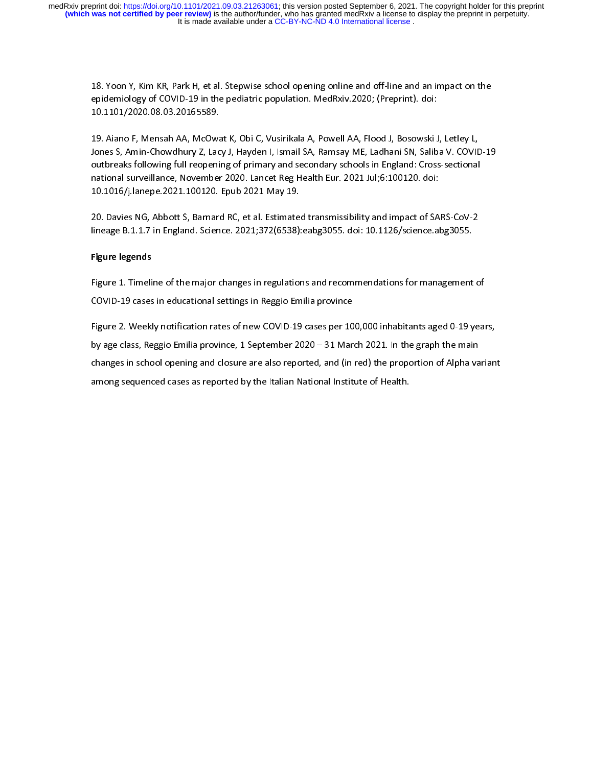$\frac{1}{2}$ 

epidemiology of COVID-19 in the pediatric population. MedRxiv.2020; (Preprint). doi:<br>10.1101/2020.08.03.20165589.<br>19. Aiano F, Mensah AA, McOwat K, Obi C, Vusirikala A, Powell AA, Flood J, Bosowski J, Letley L,<br>Jones S, Am epidemiology of Covid-10.1101/2020.08.03.20165589.<br>19. Aiano F, Mensah AA, McOwat K, Obi C, Vusirikala A, Powell AA, Flood J, Bosowski J<br>19. Aiano F, Mensah AA, McOwat K, Obi C, Vusirikala A, Powell AA, Flood J, Bosowski J 10.1101/2020.08.03.20165589. ・1<br>- J<br>- 「 Jones S, Amin-Chowdhury Z, Lacy J, Hayden I, Ismail SA, Ramsay ME, Ladhani SN, Saliba V. COVID<br>outbreaks following full reopening of primary and secondary schools in England: Cross-sectional<br>national surveillance, November Jonthreaks following full reopening of primary and secondary schools in England: Cross-sectional<br>national surveillance, November 2020. Lancet Reg Health Eur. 2021 Jul;6:100120. doi:<br>10.1016/j.lanepe.2021.100120. Epub 2021 national surveillance, November 2020. Lancet Reg Health Eur. 2021 Jul;6:100120. doi:<br>10.1016/j.lanepe.2021.100120. Epub 2021 May 19.<br>20. Davies NG, Abbott S, Barnard RC, et al. Estimated transmissibility and impact of SARS

10.1016/j.lanepe.2021.100120. Epub 2021 May 19.<br>20. Davies NG, Abbott S, Barnard RC, et al. Estimated transmissibility and impact of SA<br>lineage B.1.1.7 in England. Science. 2021;372(6538):eabg3055. doi: 10.1126/science.al<br> 101111, J. M. H. J. L. L. M. H. L. L. M. J. L.<br>20. Davies NG, Abbott S, Barnard RC, et al. Estimate<br>lineage B.1.1.7 in England. Science. 2021;372(6538):<br>Figure legends 

# Figure legends

lineage B.1.1.7 in England. Science. 2021;372(6538):eabg3055. doi: 10.1126/science.abg3055.<br>Figure legends<br>Figure 1. Timeline of the major changes in regulations and recommendations for management o<br>COVID-19 cases in educa lineage Bratan in England. Science. 2021;372(653);372(613):41.112122);38. doi: 10.1126.<br>Figure 1. Timeline of the major changes in regulations and recommendations for management<br>COVID-19 cases in educational settings in Re |<br>|<br>|}

Figure 2. Weekly notification rates of new COVID-19 cases per 100,000 inhabitants aged 0-19 year<br>Bigure 2. Weekly notification rates of new COVID-19 cases per 100,000 inhabitants aged 0-19 year<br>by age class, Reggio Emilia Eigure 2. Weekly notification rates of new COVID-19 cases per 10<br>by age class, Reggio Emilia province, 1 September 2020 – 31 Marchanges in school opening and closure are also reported, and (in<br>among sequenced cases as repo Figure 2. Weekly nontrinion rates of the COVID-19 care per 2. Weekly and the graph the main<br>by age class, Reggio Emilia province, 1 September 2020 – 31 March 2021. In the graph the main<br>changes in school opening and closur changes in school opening and closure are also reported, and (in red) the proportion of Alpha variant<br>among sequenced cases as reported by the Italian National Institute of Health. among sequenced cases as reported by the Italian National Institute of Health. among sequenced cases as reported by the Italian National Institute of Health.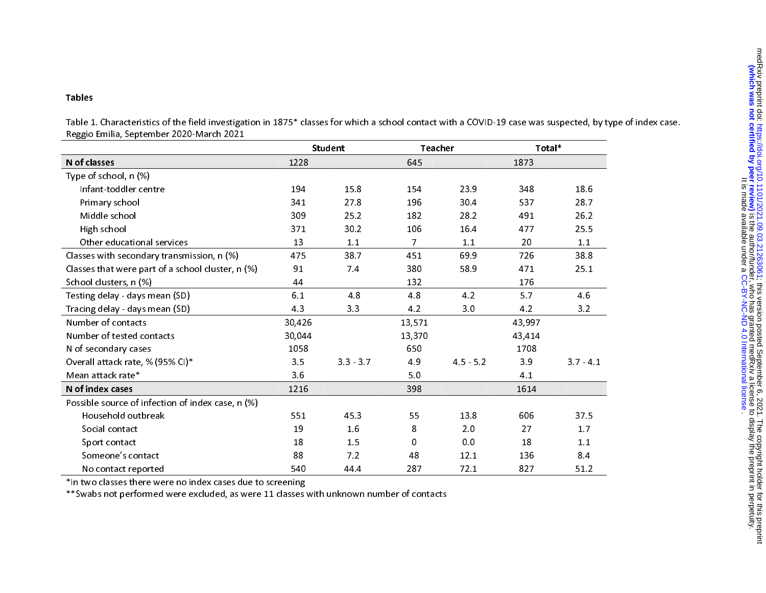### Tables

Table 1. Characteristics of the field investigation in 1875\* classes for which a school contact with a COVID-19 case was suspected, by type of index case. Reggio Emilia, September 2020-March 2021

|                                                   | <b>Student</b> |             | Teacher        |             | Total* |           |
|---------------------------------------------------|----------------|-------------|----------------|-------------|--------|-----------|
| N of classes                                      | 1228           |             | 645            |             | 1873   |           |
| Type of school, n (%)                             |                |             |                |             |        |           |
| Infant-toddler centre                             | 194            | 15.8        | 154            | 23.9        | 348    | 18.6      |
| Primary school                                    | 341            | 27.8        | 196            | 30.4        | 537    | 28.7      |
| Middle school                                     | 309            | 25.2        | 182            | 28.2        | 491    | 26.2      |
| High school                                       | 371            | 30.2        | 106            | 16.4        | 477    | 25.5      |
| Other educational services                        | 13             | 1.1         | $\overline{7}$ | 1.1         | 20     | 1.1       |
| Classes with secondary transmission, n (%)        | 475            | 38 7        | 451            | 69.9        | 726    | 38.8      |
| Classes that were part of a school cluster, n (%) | 91             | 7.4         | 380            | 58.9        | 471    | 25.1      |
| School clusters, n (%)                            | 44             |             | 132            |             | 176    |           |
| Testing delay - days mean (SD)                    | 6.1            | 4.8         | 4.8            | 4.2         | 5.7    | 4.6       |
| Tracing delay - days mean (SD)                    | 4.3            | 3.3         | 4.2            | 3.0         | 4.2    | 3.2       |
| Number of contacts                                | 30,426         |             | 13,571         |             | 43,997 |           |
| Number of tested contacts                         | 30,044         |             | 13,370         |             | 43,414 |           |
| N of secondary cases                              | 1058           |             | 650            |             | 1708   |           |
| Overall attack rate, % (95% CI)*                  | 3.5            | $3.3 - 3.7$ | 4.9            | $4.5 - 5.2$ | 3.9    | $37 - 41$ |
| Mean attack rate*                                 | 3.6            |             | 5.0            |             | 4.1    |           |
| N of index cases                                  | 1216           |             | 398            |             | 1614   |           |
| Possible source of infection of index case, n (%) |                |             |                |             |        |           |
| Household outbreak                                | 551            | 45.3        | 55             | 13.8        | 606    | 37.5      |
| Social contact                                    | 19             | 16          | 8              | 2.0         | 27     | 1.7       |
| Sport contact                                     | 18             | 1.5         | 0              | 0.0         | 18     | 1.1       |
| Someone's contact                                 | 88             | 7.2         | 48             | 12.1        | 136    | 8.4       |
| No contact reported                               | 540            | 44.4        | 287            | 72.1        | 827    | 51.2      |

\*In two classes there were no index cases due to screening

\*\*Swabs not performed were excluded, as were 11 classes with unknown number of contacts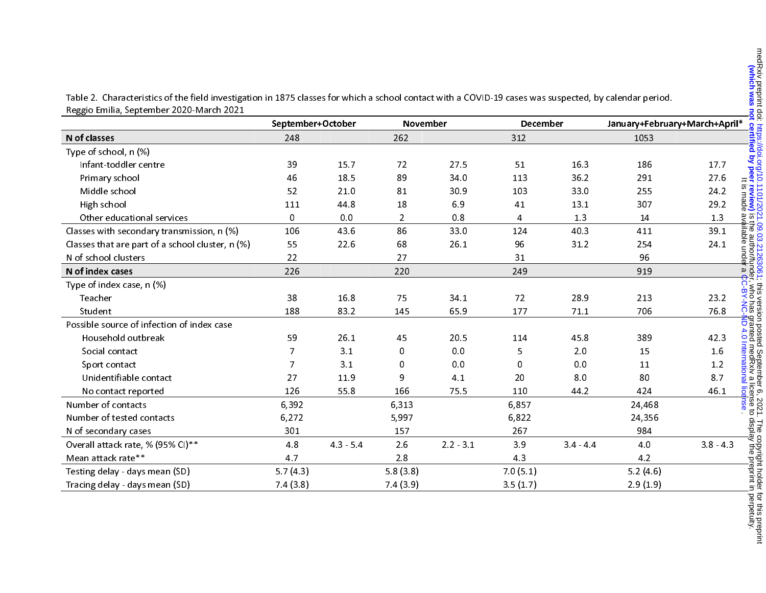Table 2. Characteristics of the field investigation in 1875 classes for which a school contact with a COVID-19 cases was suspected, by calendar period. Reggio Emilia, September 2020-March 2021

|                                                  | September+October |       | <b>November</b> |             | December     |       | January+February+March+April* |                               |
|--------------------------------------------------|-------------------|-------|-----------------|-------------|--------------|-------|-------------------------------|-------------------------------|
| N of classes                                     | 248               |       | 262             |             | 312          |       | 1053                          |                               |
| Type of school, n (%)                            |                   |       |                 |             |              |       |                               |                               |
| Infant-toddler centre                            | 39                | 15.7  | 72              | 27.5        | 51           | 16.3  | 186                           | 17.7                          |
| Primary school                                   | 46                | 18.5  | 89              | 34.0        | 113          | 36.2  | 291                           | 27.6                          |
| Middle school                                    | 52                | 21.0  | 81              | 30.9        | 103          | 33.0  | 255                           | 24.2                          |
| High school                                      | 111               | 44.8  | 18              | 6.9         | 41           | 13.1  | 307                           | 29.2                          |
| Other educational services                       | 0                 | 0.0   | $\overline{2}$  | 0.8         | 4            | 1.3   | 14                            | 1.3                           |
| Classes with secondary transmission, n (%)       | 106               | 43.6  | 86              | 33.0        | 124          | 40.3  | 411                           | 39.1                          |
| Classes that are part of a school cluster, n (%) | 55                | 22.6  | 68              | 26.1        | 96           | 312   | 254                           | 24.1                          |
| N of school clusters                             | 22                |       | 27              |             | 31           |       | 96                            |                               |
| N of index cases                                 | 226               |       | 220             |             | 249          |       | 919                           |                               |
| Type of index case, n (%)                        |                   |       |                 |             |              |       |                               |                               |
| Teacher                                          | 38                | 16.8  | 75              | 34.1        | 72           | 28.9  | 213                           | <b>BY-NC</b><br>BY-NC<br>23.2 |
| Student                                          | 188               | 83.2  | 145             | 65.9        | 177          | 71.1  | 706                           | 76.8                          |
| Possible source of infection of index case       |                   |       |                 |             |              |       |                               | ع <mark>ج</mark><br>ول        |
| Household outbreak                               | 59                | 26.1  | 45              | 20.5        | 114          | 45.8  | 389                           | nted me<br>4.0 Inte<br>42.3   |
| Social contact                                   | 7                 | 3.1   | 0               | 0.0         | 5            | 2.0   | 15                            | 1.6                           |
| Sport contact                                    | 7                 | 3.1   | 0               | 0.0         | <sup>0</sup> | 0.0   | 11                            | 1.2                           |
| Unidentifiable contact                           | 27                | 11.9  | 9               | 4.1         | 20           | 8.0   | 80                            | 87                            |
| No contact reported                              | 126               | 55.8  | 166             | 75.5        | 110          | 44.2  | 424                           | 46.1                          |
| Number of contacts                               | 6,392             |       | 6,313           |             | 6,857        |       | 24,468                        |                               |
| Number of tested contacts                        | 6,272             |       | 5,997           |             | 6,822        |       | 24,356                        |                               |
| N of secondary cases                             | 301               |       | 157             |             | 267          |       | 984                           |                               |
| Overall attack rate, % (95% CI)**                | 48                | 43 54 | 2.6             | $2.2 - 3.1$ | 3.9          | 34 44 | 4.0                           | $3.8 - 4.3$                   |
| Mean attack rate**                               | 4.7               |       | 2.8             |             | 43           |       | 4.2                           |                               |
| Testing delay - days mean (SD)                   | 5.7(4.3)          |       | 5.8(3.8)        |             | 7.0(5.1)     |       | 5.2(4.6)                      |                               |
| Tracing delay - days mean (SD)                   | 7.4(3.8)          |       | 7.4(3.9)        |             | 3.5(1.7)     |       | 2.9(1.9)                      |                               |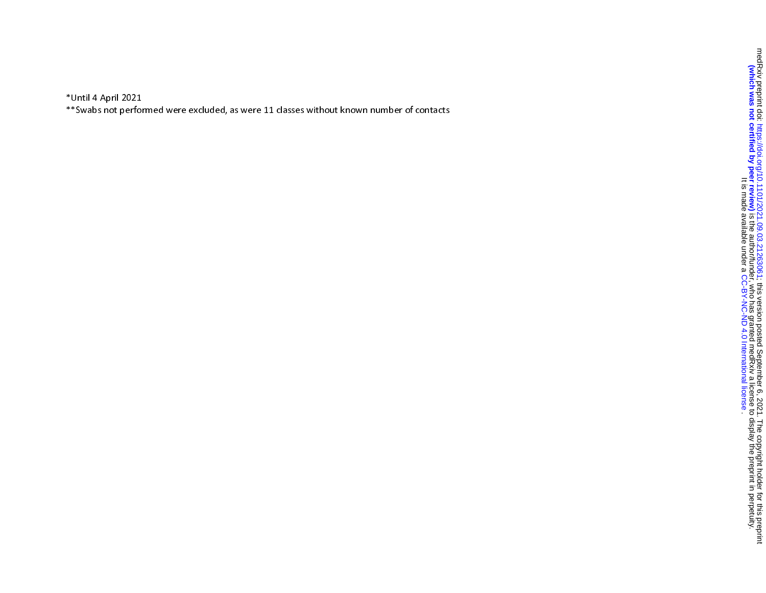\*Until 4 April 2021

\*\*Swabs not performed were excluded, as were 11 classes without known number of contacts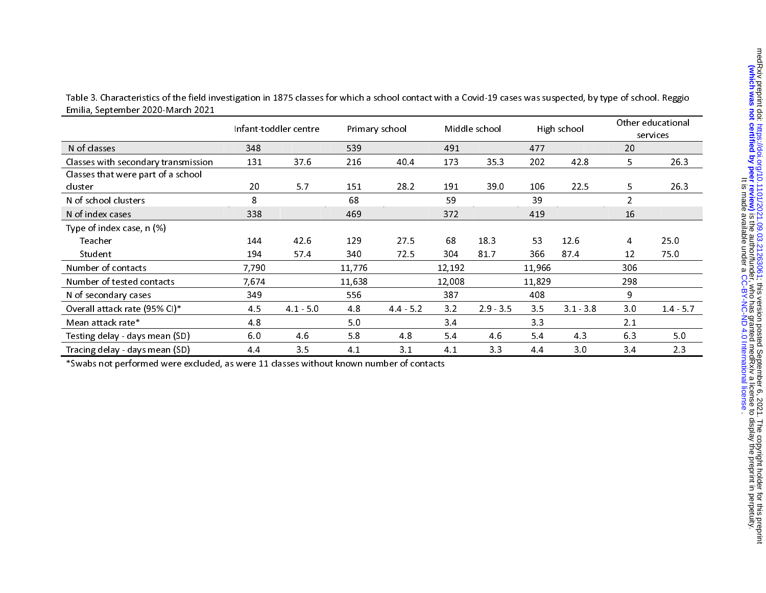Table 3. Characteristics of the field investigation in 1875 classes for which a school contact with a Covid-19 cases was suspected, by type of school. Reggio Emilia, September 2020-March 2021

|                                     |       | Infant-toddler centre | Primary school |           |        | Middle school |        | High school |                | Other educational<br>services |
|-------------------------------------|-------|-----------------------|----------------|-----------|--------|---------------|--------|-------------|----------------|-------------------------------|
| N of classes                        | 348   |                       | 539            |           | 491    |               | 477    |             | 20             |                               |
| Classes with secondary transmission | 131   | 37.6                  | 216            | 40.4      | 173    | 35.3          | 202    | 42.8        | 5.             | 26.3                          |
| Classes that were part of a school  |       |                       |                |           |        |               |        |             |                |                               |
| cluster                             | 20    | 5.7                   | 151            | 28.2      | 191    | 39.0          | 106    | 22.5        | 5              | 26.3                          |
| N of school clusters                | 8     |                       | 68             |           | 59     |               | 39     |             | $\overline{2}$ |                               |
| N of index cases                    | 338   |                       | 469            |           | 372    |               | 419    |             | 16             |                               |
| Type of index case, n (%)           |       |                       |                |           |        |               |        |             |                |                               |
| Teacher                             | 144   | 42.6                  | 129            | 27.5      | 68     | 18.3          | 53     | 12.6        | 4              | 25.0                          |
| Student                             | 194   | 57.4                  | 340            | 72.5      | 304    | 81.7          | 366    | 874         | 12             | 75.0                          |
| Number of contacts                  | 7,790 |                       | 11,776         |           | 12,192 |               | 11,966 |             | 306            |                               |
| Number of tested contacts           | 7,674 |                       | 11,638         |           | 12,008 |               | 11,829 |             | 298            |                               |
| N of secondary cases                | 349   |                       | 556            |           | 387    |               | 408    |             | 9              |                               |
| Overall attack rate (95% CI)*       | 4.5   | $41 - 50$             | 4.8            | $44 - 52$ | 3.2    | $2.9 - 3.5$   | 3.5    | $3.1 - 3.8$ | 3.0            | $14 - 5.7$                    |
| Mean attack rate*                   | 4.8   |                       | 5.0            |           | 34     |               | 3.3    |             | 2.1            |                               |
| Testing delay - days mean (SD)      | 6.0   | 46                    | 5.8            | 4.8       | 5.4    | 4.6           | 5.4    | 4.3         | 6.3            | 5.0                           |
| Tracing delay - days mean (SD)      | 44    | 3.5                   | 4.1            | 3.1       | 4.1    | 3.3           | 44     | 3.0         | 3.4            | 2.3                           |

\*Swabs not performed were excluded, as were 11 classes without known number of contacts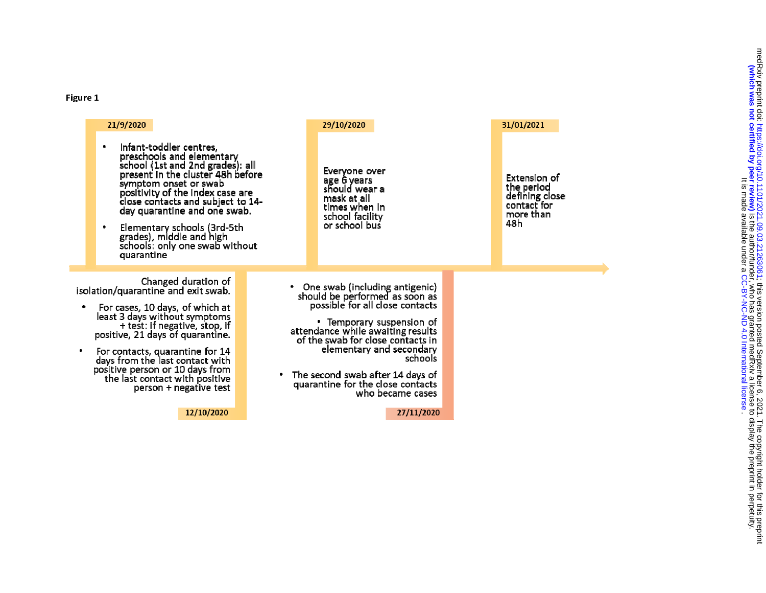# Figure 1

| 21/9/2020                                                                                                                                                                                                                                                                                                                                                                  | 29/10/2020                                                                                                                                                                                                                                                                                                                                     | 31/01/2021                                                                      |
|----------------------------------------------------------------------------------------------------------------------------------------------------------------------------------------------------------------------------------------------------------------------------------------------------------------------------------------------------------------------------|------------------------------------------------------------------------------------------------------------------------------------------------------------------------------------------------------------------------------------------------------------------------------------------------------------------------------------------------|---------------------------------------------------------------------------------|
| Infant-toddler centres,<br>preschools and elementary<br>school (1st and 2nd grades): all<br>present in the cluster 48h before<br>symptom onset or swab<br>positivity of the index case are<br>close contacts and subject to 14-<br>day quarantine and one swab.<br>Elementary schools (3rd-5th<br>grades), middle and high<br>schools: only one swab without<br>quarantine | Everyone over<br>age 6 years<br>should wear a<br>mask at all<br>times when in<br>school facility<br>or school bus.                                                                                                                                                                                                                             | Extension of<br>the period<br>defining close<br>contact for<br>more than<br>48h |
| Changed duration of<br>isolation/quarantine and exit swab.<br>For cases, 10 days, of which at<br>least 3 days without symptoms<br>+ test: if negative, stop, if<br>positive, 21 days of quarantine.<br>For contacts, quarantine for 14<br>days from the last contact with<br>positive person or 10 days from<br>the last contact with positive<br>person + negative test   | One swab (including antigenic)<br>should be performed as soon as<br>possible for all close contacts<br>• Temporary suspension of<br>attendance while awaiting results<br>of the swab for close contacts in<br>elementary and secondary<br>schools<br>The second swab after 14 days of<br>quarantine for the close contacts<br>who became cases |                                                                                 |
| 12/10/2020                                                                                                                                                                                                                                                                                                                                                                 | 27/11/2020                                                                                                                                                                                                                                                                                                                                     |                                                                                 |